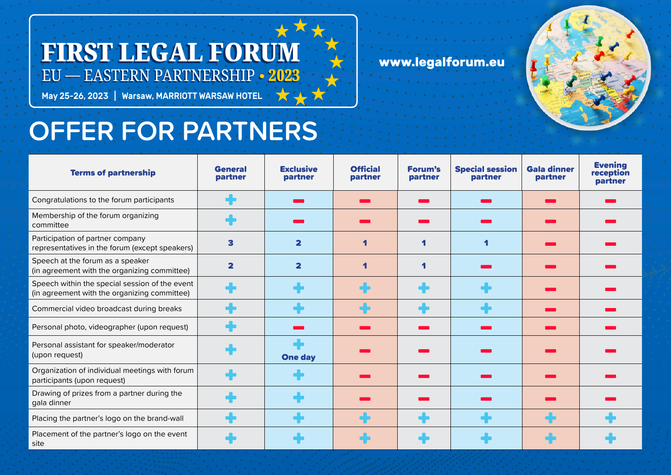## FIRST LEGAL FORUM EU — EASTERN PARTNERSHIP **• 2023**

May 25-26, 2023 | Warsaw, MARRIOTT WARSAW HOTEL

## **www.legalforum**



## **OFFER FOR PARTNERS**

| <b>Terms of partnership</b>                                                                    | <b>General</b><br>partner | <b>Exclusive</b><br>partner | <b>Official</b><br>partner | <b>Forum's</b><br>partner | <b>Special session</b><br>partner | <b>Gala dinner</b><br>partner | <b>Evening</b><br>reception<br>partner |
|------------------------------------------------------------------------------------------------|---------------------------|-----------------------------|----------------------------|---------------------------|-----------------------------------|-------------------------------|----------------------------------------|
| Congratulations to the forum participants                                                      |                           |                             |                            |                           |                                   |                               |                                        |
| Membership of the forum organizing<br>committee                                                |                           |                             |                            |                           |                                   |                               |                                        |
| Participation of partner company<br>representatives in the forum (except speakers)             | 3                         | $\overline{\mathbf{2}}$     |                            |                           |                                   |                               |                                        |
| Speech at the forum as a speaker<br>(in agreement with the organizing committee)               | $\overline{\mathbf{2}}$   | $\overline{\mathbf{2}}$     | 4                          |                           |                                   |                               |                                        |
| Speech within the special session of the event<br>(in agreement with the organizing committee) | $\blacksquare$            |                             |                            |                           |                                   |                               |                                        |
| Commercial video broadcast during breaks                                                       |                           |                             |                            |                           |                                   |                               |                                        |
| Personal photo, videographer (upon request)                                                    |                           |                             |                            |                           |                                   |                               |                                        |
| Personal assistant for speaker/moderator<br>(upon request)                                     |                           | <b>One day</b>              |                            |                           |                                   |                               |                                        |
| Organization of individual meetings with forum<br>participants (upon request)                  |                           |                             |                            |                           |                                   |                               |                                        |
| Drawing of prizes from a partner during the<br>gala dinner                                     |                           |                             |                            |                           |                                   |                               |                                        |
| Placing the partner's logo on the brand-wall                                                   |                           |                             |                            |                           |                                   |                               |                                        |
| Placement of the partner's logo on the event<br>site                                           |                           |                             |                            |                           |                                   |                               |                                        |